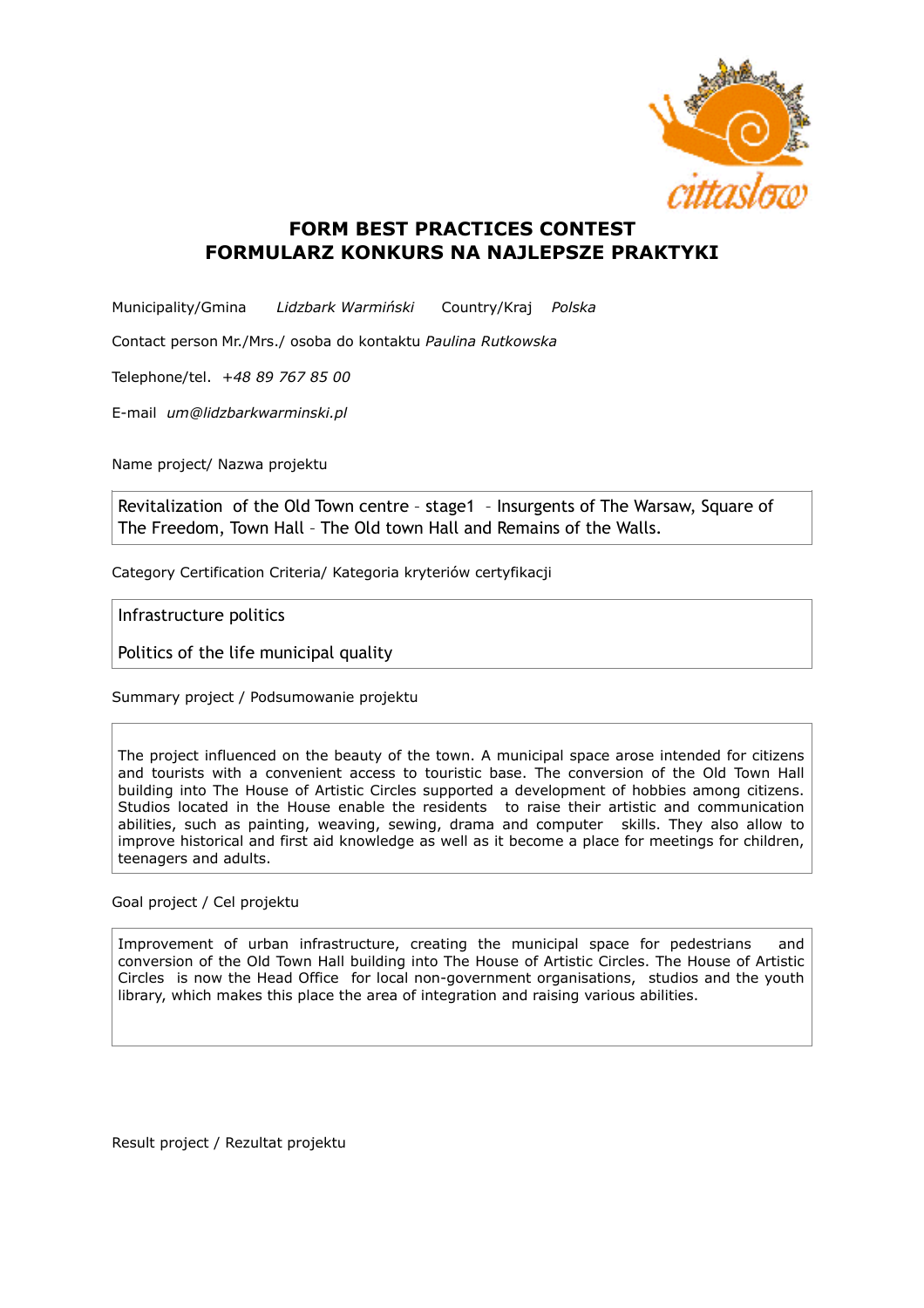

## **FORM BEST PRACTICES CONTEST FORMULARZ KONKURS NA NAJLEPSZE PRAKTYKI**

Municipality/Gmina *Lidzbark Warmiński* Country/Kraj *Polska*

Contact person Mr./Mrs./ osoba do kontaktu *Paulina Rutkowska*

Telephone/tel. *+48 89 767 85 00* 

E-mail *um@lidzbarkwarminski.pl* 

Name project/ Nazwa projektu

Revitalization of the Old Town centre – stage1 – Insurgents of The Warsaw, Square of The Freedom, Town Hall – The Old town Hall and Remains of the Walls.

Category Certification Criteria/ Kategoria kryteriów certyfikacji

Infrastructure politics

Politics of the life municipal quality

Summary project / Podsumowanie projektu

The project influenced on the beauty of the town. A municipal space arose intended for citizens and tourists with a convenient access to touristic base. The conversion of the Old Town Hall building into The House of Artistic Circles supported a development of hobbies among citizens. Studios located in the House enable the residents to raise their artistic and communication abilities, such as painting, weaving, sewing, drama and computer skills. They also allow to improve historical and first aid knowledge as well as it become a place for meetings for children, teenagers and adults.

Goal project / Cel projektu

Improvement of urban infrastructure, creating the municipal space for pedestrians and conversion of the Old Town Hall building into The House of Artistic Circles. The House of Artistic Circles is now the Head Office for local non-government organisations, studios and the youth library, which makes this place the area of integration and raising various abilities.

Result project / Rezultat projektu